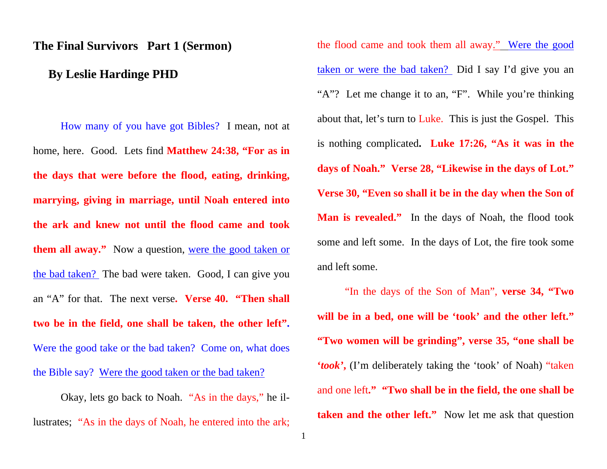## **The Final Survivors Part 1 (Sermon)**

## **By Leslie Hardinge PHD**

How many of you have got Bibles? I mean, not at home, here. Good. Lets find **Matthew 24:38, "For as in the days that were before the flood, eating, drinking, marrying, giving in marriage, until Noah entered into the ark and knew not until the flood came and took them all away."** Now a question, were the good taken or the bad taken? The bad were taken. Good, I can give you an "A" for that. The next verse**. Verse 40. "Then shall two be in the field, one shall be taken, the other left".** Were the good take or the bad taken? Come on, what does the Bible say? Were the good taken or the bad taken?

Okay, lets go back to Noah. "As in the days," he illustrates; "As in the days of Noah, he entered into the ark;

the flood came and took them all away." Were the good taken or were the bad taken? Did I say I'd give you an "A"? Let me change it to an, "F". While you're thinking about that, let's turn to Luke. This is just the Gospel. This is nothing complicated**. Luke 17:26, "As it was in the days of Noah." Verse 28, "Likewise in the days of Lot." Verse 30, "Even so shall it be in the day when the Son of Man is revealed."** In the days of Noah, the flood took some and left some. In the days of Lot, the fire took some and left some.

"In the days of the Son of Man", **verse 34, "Two will be in a bed, one will be 'took' and the other left." "Two women will be grinding", verse 35, "one shall be '***took'***,** (I'm deliberately taking the 'took' of Noah) "taken and one left**." "Two shall be in the field, the one shall be taken and the other left."** Now let me ask that question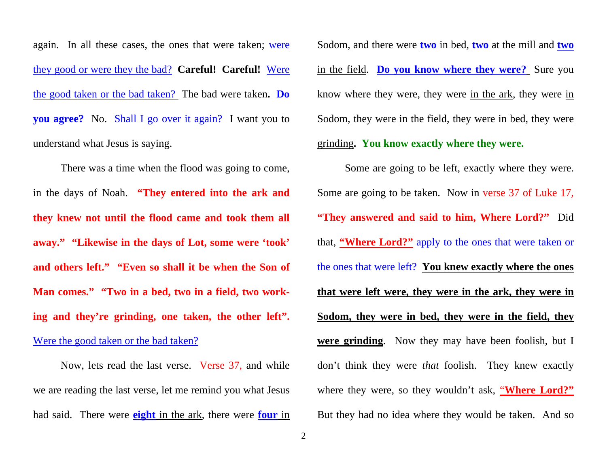again. In all these cases, the ones that were taken; were they good or were they the bad? **Careful! Careful!** Were the good taken or the bad taken? The bad were taken**. Do you agree?** No. Shall I go over it again? I want you to understand what Jesus is saying.

There was a time when the flood was going to come, in the days of Noah. **"They entered into the ark and they knew not until the flood came and took them all away." "Likewise in the days of Lot, some were 'took' and others left." "Even so shall it be when the Son of Man comes." "Two in a bed, two in a field, two working and they're grinding, one taken, the other left".** Were the good taken or the bad taken?

Now, lets read the last verse. Verse 37, and while we are reading the last verse, let me remind you what Jesus had said. There were **eight** in the ark, there were **four** in Sodom, and there were **two** in bed, **two** at the mill and **two**  in the field. **Do you know where they were?** Sure you know where they were, they were in the ark, they were in Sodom, they were in the field, they were in bed, they were grinding**. You know exactly where they were.**

Some are going to be left, exactly where they were. Some are going to be taken. Now in verse 37 of Luke 17, **"They answered and said to him, Where Lord?"** Did that, **"Where Lord?"** apply to the ones that were taken or the ones that were left? **You knew exactly where the ones that were left were, they were in the ark, they were in Sodom, they were in bed, they were in the field, they were grinding**. Now they may have been foolish, but I don't think they were *that* foolish. They knew exactly where they were, so they wouldn't ask, "**Where Lord?"**But they had no idea where they would be taken. And so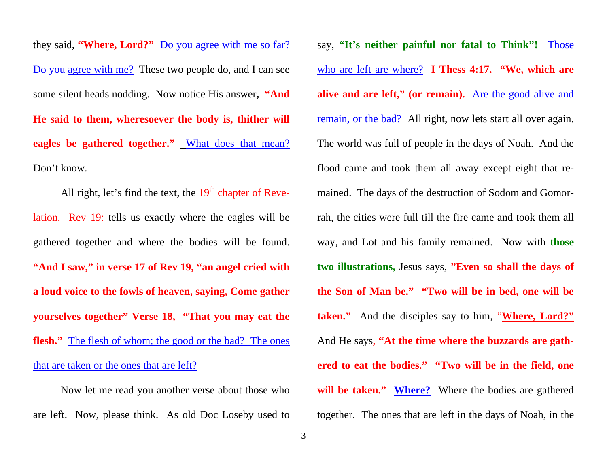they said, **"Where, Lord?"** Do you agree with me so far? Do you agree with me? These two people do, and I can see some silent heads nodding. Now notice His answer**, "And He said to them, wheresoever the body is, thither will eagles be gathered together."** What does that mean? Don't know.

All right, let's find the text, the  $19<sup>th</sup>$  chapter of Revelation. Rev 19: tells us exactly where the eagles will be gathered together and where the bodies will be found. **"And I saw," in verse 17 of Rev 19, "an angel cried with a loud voice to the fowls of heaven, saying, Come gather yourselves together" Verse 18, "That you may eat the flesh."** The flesh of whom; the good or the bad? The ones that are taken or the ones that are left?

Now let me read you another verse about those who are left. Now, please think. As old Doc Loseby used to

say, **"It's neither painful nor fatal to Think"!** Those who are left are where? **I Thess 4:17. "We, which are alive and are left," (or remain).** Are the good alive and remain, or the bad? All right, now lets start all over again. The world was full of people in the days of Noah. And the flood came and took them all away except eight that remained. The days of the destruction of Sodom and Gomorrah, the cities were full till the fire came and took them all way, and Lot and his family remained. Now with **those two illustrations,** Jesus says, **"Even so shall the days of the Son of Man be." "Two will be in bed, one will be taken."** And the disciples say to him, "**Where, Lord?"** And He says, **"At the time where the buzzards are gathered to eat the bodies." "Two will be in the field, one will be taken." Where?** Where the bodies are gathered together. The ones that are left in the days of Noah, in the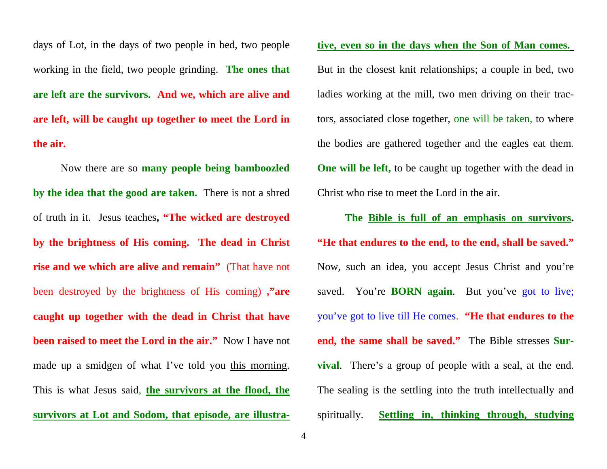days of Lot, in the days of two people in bed, two people working in the field, two people grinding. **The ones that are left are the survivors. And we, which are alive and are left, will be caught up together to meet the Lord in the air.** 

Now there are so **many people being bamboozled by the idea that the good are taken.** There is not a shred of truth in it. Jesus teaches**, "The wicked are destroyed by the brightness of His coming. The dead in Christ rise and we which are alive and remain"** (That have not been destroyed by the brightness of His coming) **,"are caught up together with the dead in Christ that have been raised to meet the Lord in the air."** Now I have not made up a smidgen of what I've told you this morning. This is what Jesus said, **the survivors at the flood, the survivors at Lot and Sodom, that episode, are illustra-** **tive, even so in the days when the Son of Man comes.**

But in the closest knit relationships; a couple in bed, two ladies working at the mill, two men driving on their trac tors, associated close together, one will be taken, to where the bodies are gathered together and the eagles eat them. **One will be left,** to be caught up together with the dead in Christ who rise to meet the Lord in the air.

**The <u>Bible is full of an emphasis on survivors</u>.<br>
"He that endures to the end, to the end, shall be saved."** Now, such an idea, you accept Jesus Christ and you're<br>saved. You're **BORN again**. But you've got to live;<br>you've got to live till He comes. "He that endures to the<br>end, the same shall be saved." The Bible stresses Sur**vival**. There's a group of people with a seal, at the end. The sealing is the settling into the truth intellectually and spiritually. **Settling in, thinking through, studying**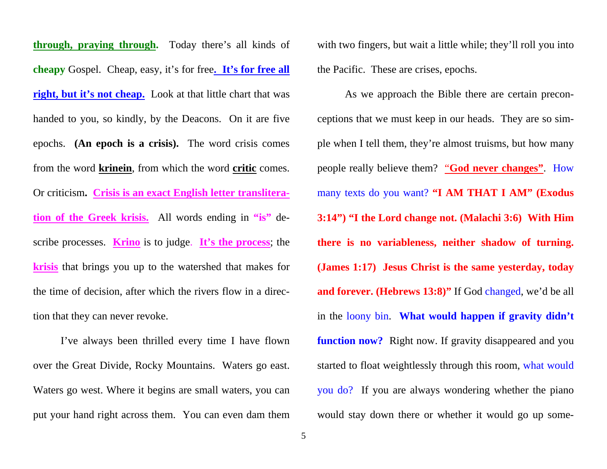**through, praying through.** Today there's all kinds of **cheapy** Gospel. Cheap, easy, it's for free**. It's for free all**  right, but it's not cheap. Look at that little chart that was handed to you, so kindly, by the Deacons. On it are five epochs. **(An epoch is a crisis).** The word crisis comes from the word **krinein**, from which the word **critic** comes. Or criticism**. Crisis is an exact English letter transliteration of the Greek krisis.** All words ending in **"is"** describe processes. **Krino** is to judge. **It's the process**; the **krisis** that brings you up to the watershed that makes for the time of decision, after which the rivers flow in a direction that they can never revoke.

I've always been thrilled every time I have flown over the Great Divide, Rocky Mountains. Waters go east. Waters go west. Where it begins are small waters, you can put your hand right across them. You can even dam them with two fingers, but wait a little while; they'll roll you into the Pacific. These are crises, epochs.

As we approach the Bible there are certain preconceptions that we must keep in our heads. They are so simple when I tell them, they're almost truisms, but how many people really believe them? "**God never changes"**. How many texts do you want? **"I AM THAT I AM" (Exodus 3:14") "I the Lord change not. (Malachi 3:6) With Him there is no variableness, neither shadow of turning. (James 1:17) Jesus Christ is the same yesterday, today and forever. (Hebrews 13:8)"** If God changed, we'd be all in the loony bin. **What would happen if gravity didn't function now?** Right now. If gravity disappeared and you started to float weightlessly through this room, what would you do? If you are always wondering whether the piano would stay down there or whether it would go up some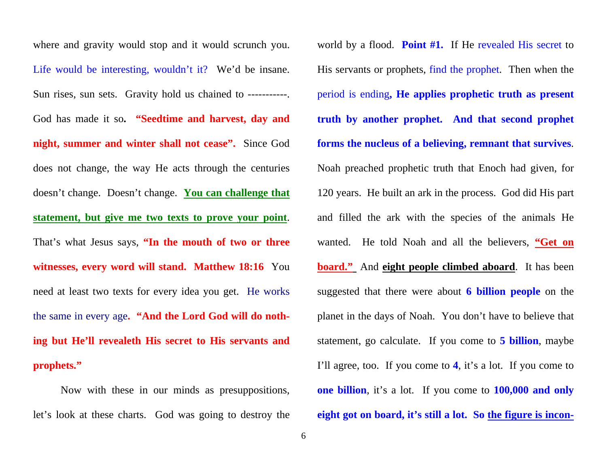where and gravity would stop and it would scrunch you. Life would be interesting, wouldn't it? We'd be insane. Sun rises, sun sets. Gravity hold us chained to -----------God has made it so**. "Seedtime and harvest, day and night, summer and winter shall not cease".** Since God does not change, the way He acts through the centuries doesn't change. Doesn't change. **You can challenge that statement, but give me two texts to prove your point**. That's what Jesus says, **"In the mouth of two or three witnesses, every word will stand. Matthew 18:16** You need at least two texts for every idea you get. He works the same in every age**. "And the Lord God will do nothing but He'll revealeth His secret to His servants and prophets."** 

Now with these in our minds as presuppositions, let's look at these charts. God was going to destroy the

world by a flood. **Point #1.** If He revealed His secret to His servants or prophets, find the prophet. Then when the period is ending**, He applies prophetic truth as present truth by another prophet. And that second prophet forms the nucleus of a believing, remnant that survives**. Noah preached prophetic truth that Enoch had given, for 120 years. He built an ark in the process. God did His part and filled the ark with the species of the animals He wanted. He told Noah and all the believers, **"Get on <u>board."</u>** And **eight people climbed aboard**. It has been suggested that there were about **6 billion people** on the planet in the days of Noah. You don't have to believe that statement, go calculate. If you come to **5 billion**, maybe I'll agree, too. If you come to **4**, it's a lot. If you come to **one billion**, it's a lot. If you come to **100,000 and only eight got on board, it's still a lot. So the figure is incon-**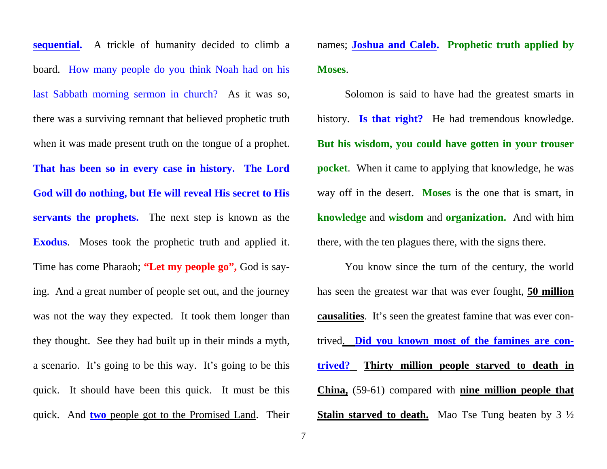**sequential.** A trickle of humanity decided to climb a board. How many people do you think Noah had on his last Sabbath morning sermon in church? As it was so, there was a surviving remnant that believed prophetic truth when it was made present truth on the tongue of a prophet. **That has been so in every case in history. The Lord God will do nothing, but He will reveal His secret to His servants the prophets.** The next step is known as the **Exodus**. Moses took the prophetic truth and applied it. Time has come Pharaoh; **"Let my people go",** God is saying. And a great number of people set out, and the journey was not the way they expected. It took them longer than they thought. See they had built up in their minds a myth, a scenario. It's going to be this way. It's going to be this quick. It should have been this quick. It must be this quick. And **two** people got to the Promised Land. Their

names; **Joshua and Caleb. Prophetic truth applied by Moses**.

Solomon is said to have had the greatest smarts in history. **Is that right?** He had tremendous knowledge. **But his wisdom, you could have gotten in your trouser pocket**. When it came to applying that knowledge, he was way off in the desert. **Moses** is the one that is smart, in **knowledge** and **wisdom** and **organization.** And with him there, with the ten plagues there, with the signs there.

You know since the turn of the century, the world has seen the greatest war that was ever fought, **50 million causalities**. It's seen the greatest famine that was ever contrived. **Did you known most of the famines are contrived? Thirty million people starved to death in China,** (59-61) compared with **nine million people that Stalin starved to death.** Mao Tse Tung beaten by 3  $\frac{1}{2}$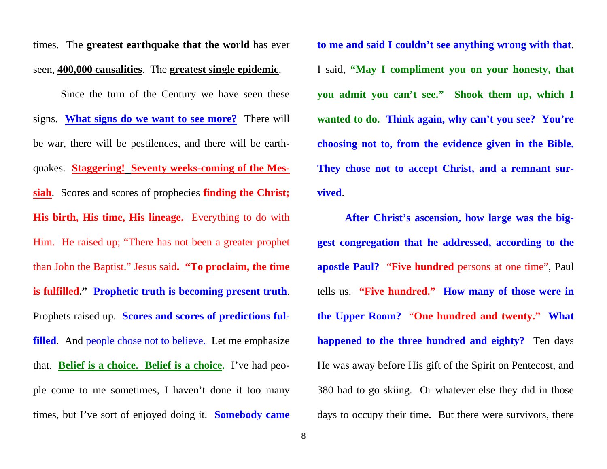times. The **greatest earthquake that the world** has ever seen, **400,000 causalities**. The **greatest single epidemic**.

Since the turn of the Century we have seen these signs. **What signs do we want to see more?** There will be war, there will be pestilences, and there will be earthquakes. **Staggering! Seventy weeks-coming of the Messiah**. Scores and scores of prophecies **finding the Christ; His birth, His time, His lineage.** Everything to do with Him. He raised up; "There has not been a greater prophet than John the Baptist." Jesus said**. "To proclaim, the time is fulfilled." Prophetic truth is becoming present truth**. Prophets raised up. **Scores and scores of predictions fulfilled**. And people chose not to believe. Let me emphasize that. **Belief is a choice. Belief is a choice.** I've had people come to me sometimes, I haven't done it too many times, but I've sort of enjoyed doing it. **Somebody came** 

**to me and said I couldn't see anything wrong with that**. I said, **"May I compliment you on your honesty, that you admit you can't see." Shook them up, which I wanted to do. Think again, why can't you see? You're choosing not to, from the evidence given in the Bible. They chose not to accept Christ, and a remnant survived**.

**After Christ's ascension, how large was the biggest congregation that he addressed, according to the apostle Paul?** "**Five hundred** persons at one time", Paul tells us. **"Five hundred." How many of those were in the Upper Room?** "**One hundred and twenty." What happened to the three hundred and eighty?** Ten days He was away before His gift of the Spirit on Pentecost, and 380 had to go skiing. Or whatever else they did in those days to occupy their time. But there were survivors, there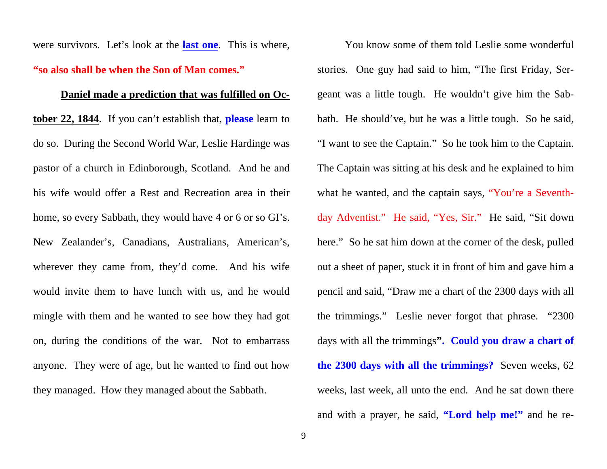were survivors. Let's look at the **last one**. This is where, **"so also shall be when the Son of Man comes."**

## **Daniel made a prediction that was fulfilled on Oc-**

**tober 22, 1844**. If you can't establish that, **please** learn to do so. During the Second World War, Leslie Hardinge was pastor of a church in Edinborough, Scotland. And he and his wife would offer a Rest and Recreation area in their home, so every Sabbath, they would have 4 or 6 or so GI's. New Zealander's, Canadians, Australians, American's, wherever they came from, they'd come. And his wife would invite them to have lunch with us, and he would mingle with them and he wanted to see how they had got on, during the conditions of the war. Not to embarrass anyone. They were of age, but he wanted to find out how they managed. How they managed about the Sabbath.

You know some of them told Leslie some wonderful stories. One guy had said to him, "The first Friday, Sergeant was a little tough. He wouldn't give him the Sabbath. He should've, but he was a little tough. So he said, "I want to see the Captain." So he took him to the Captain. The Captain was sitting at his desk and he explained to him what he wanted, and the captain says, "You're a Seventhday Adventist." He said, "Yes, Sir." He said, "Sit down here." So he sat him down at the corner of the desk, pulled out a sheet of paper, stuck it in front of him and gave him a pencil and said, "Draw me a chart of the 2300 days with all the trimmings." Leslie never forgot that phrase. "2300 days with all the trimmings**". Could you draw a chart of the 2300 days with all the trimmings?** Seven weeks, 62 weeks, last week, all unto the end. And he sat down there and with a prayer, he said, **"Lord help me!"** and he re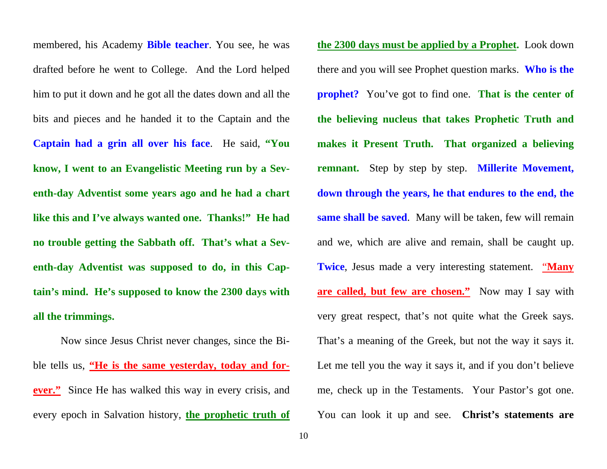membered, his Academy **Bible teacher**. You see, he was drafted before he went to College. And the Lord helped him to put it down and he got all the dates down and all the bits and pieces and he handed it to the Captain and the **Captain had a grin all over his face**. He said, **"You know, I went to an Evangelistic Meeting run by a Seventh-day Adventist some years ago and he had a chart like this and I've always wanted one. Thanks!" He had no trouble getting the Sabbath off. That's what a Seventh-day Adventist was supposed to do, in this Captain's mind. He's supposed to know the 2300 days with all the trimmings.** 

Now since Jesus Christ never changes, since the Bible tells us, **"He is the same yesterday, today and forever."** Since He has walked this way in every crisis, and every epoch in Salvation history, **the prophetic truth of** 

**the 2300 days must be applied by a Prophet.** Look down there and you will see Prophet question marks. **Who is the prophet?** You've got to find one. **That is the center of the believing nucleus that takes Prophetic Truth and makes it Present Truth. That organized a believing remnant.** Step by step by step. **Millerite Movement, down through the years, he that endures to the end, the same shall be saved**. Many will be taken, few will remain and we, which are alive and remain, shall be caught up. **Twice**, Jesus made a very interesting statement. "**Many are called, but few are chosen."** Now may I say with very great respect, that's not quite what the Greek says. That's a meaning of the Greek, but not the way it says it. Let me tell you the way it says it, and if you don't believe me, check up in the Testaments. Your Pastor's got one. You can look it up and see. **Christ's statements are**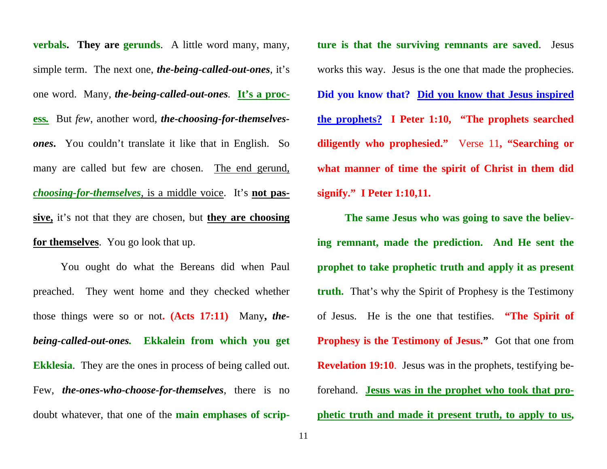**verbals. They are gerunds**. A little word many, many, simple term. The next one, *the-being-called-out-ones*, it's one word. Many, *the-being-called-out-ones.* **It's a process***.* But *few*, another word, *the-choosing-for-themselvesones***.** You couldn't translate it like that in English. So many are called but few are chosen. The end gerund, *choosing-for-themselves*, is a middle voice. It's **not passive,** it's not that they are chosen, but **they are choosing for themselves**. You go look that up.

You ought do what the Bereans did when Paul preached. They went home and they checked whether those things were so or not**. (Acts 17:11)** Many**,** *thebeing-called-out-ones.* **Ekkalein from which you get Ekklesia**. They are the ones in process of being called out. Few, *the-ones-who-choose-for-themselves*, there is no doubt whatever, that one of the **main emphases of scrip-** **ture is that the surviving remnants are saved**. Jesus works this way. Jesus is the one that made the prophecies. Did you know that? <u>Did you know that Jesus inspired</u><br>the prophets? I Peter 1:10, "The prophets searched<br>diligently who prophesied." Verse 11, "Searching or<br>what manner of time the spirit of Christ in them did<br>signify." I

**The same Jesus who was going to save the believ** ing remnant, made the prediction. And He sent the<br>prophet to take prophetic truth and apply it as present<br>truth. That's why the Spirit of Prophesy is the Testimony<br>of Jesus. He is the one that testifies. "The Spirit of<br>Pro **Revelation 19:10**. Jesus was in the prophets, testifying be forehand. **Jesus was in the prophet who took that pro phetic truth and made it present truth, to apply to us,**